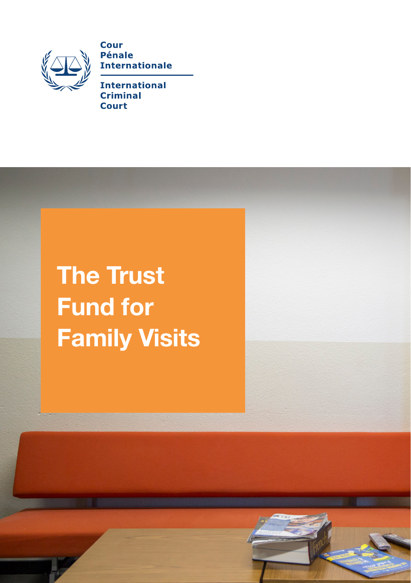

Cour **Pénale Internationale** 

**International Criminal** Court

The Trust Fund for Family Visits

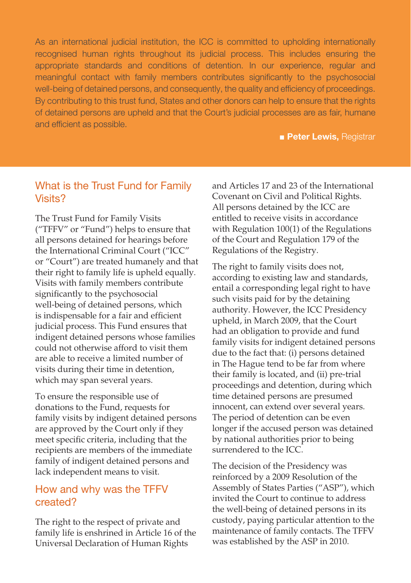As an international judicial institution, the ICC is committed to upholding internationally recognised human rights throughout its judicial process. This includes ensuring the appropriate standards and conditions of detention. In our experience, regular and meaningful contact with family members contributes significantly to the psychosocial well-being of detained persons, and consequently, the quality and efficiency of proceedings. By contributing to this trust fund, States and other donors can help to ensure that the rights of detained persons are upheld and that the Court's judicial processes are as fair, humane and efficient as possible.

**■ Peter Lewis, Registrar** 

# What is the Trust Fund for Family Visits?

The Trust Fund for Family Visits ("TFFV" or "Fund") helps to ensure that all persons detained for hearings before the International Criminal Court ("ICC" or "Court") are treated humanely and that their right to family life is upheld equally. Visits with family members contribute significantly to the psychosocial well-being of detained persons, which is indispensable for a fair and efficient judicial process. This Fund ensures that indigent detained persons whose families could not otherwise afford to visit them are able to receive a limited number of visits during their time in detention, which may span several years.

To ensure the responsible use of donations to the Fund, requests for family visits by indigent detained persons are approved by the Court only if they meet specific criteria, including that the recipients are members of the immediate family of indigent detained persons and lack independent means to visit.

# How and why was the TFFV created?

The right to the respect of private and family life is enshrined in Article 16 of the Universal Declaration of Human Rights

and Articles 17 and 23 of the International Covenant on Civil and Political Rights. All persons detained by the ICC are entitled to receive visits in accordance with Regulation 100(1) of the Regulations of the Court and Regulation 179 of the Regulations of the Registry.

The right to family visits does not, according to existing law and standards, entail a corresponding legal right to have such visits paid for by the detaining authority. However, the ICC Presidency upheld, in March 2009, that the Court had an obligation to provide and fund family visits for indigent detained persons due to the fact that: (i) persons detained in The Hague tend to be far from where their family is located, and (ii) pre-trial proceedings and detention, during which time detained persons are presumed innocent, can extend over several years. The period of detention can be even longer if the accused person was detained by national authorities prior to being surrendered to the ICC.

The decision of the Presidency was reinforced by a 2009 Resolution of the Assembly of States Parties ("ASP"), which invited the Court to continue to address the well-being of detained persons in its custody, paying particular attention to the maintenance of family contacts. The TFFV was established by the ASP in 2010.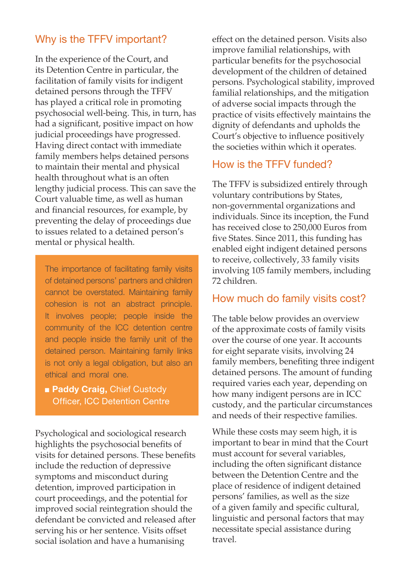## Why is the TFFV important?

In the experience of the Court, and its Detention Centre in particular, the facilitation of family visits for indigent detained persons through the TFFV has played a critical role in promoting psychosocial well-being. This, in turn, has had a significant, positive impact on how judicial proceedings have progressed. Having direct contact with immediate family members helps detained persons to maintain their mental and physical health throughout what is an often lengthy judicial process. This can save the Court valuable time, as well as human and financial resources, for example, by preventing the delay of proceedings due to issues related to a detained person's mental or physical health.

The importance of facilitating family visits of detained persons' partners and children cannot be overstated. Maintaining family cohesion is not an abstract principle. It involves people; people inside the community of the ICC detention centre and people inside the family unit of the detained person. Maintaining family links is not only a legal obligation, but also an ethical and moral one.

■ Paddy Craig, Chief Custody

Psychological and sociological research highlights the psychosocial benefits of visits for detained persons. These benefits include the reduction of depressive symptoms and misconduct during detention, improved participation in court proceedings, and the potential for improved social reintegration should the defendant be convicted and released after serving his or her sentence. Visits offset social isolation and have a humanising

effect on the detained person. Visits also improve familial relationships, with particular benefits for the psychosocial development of the children of detained persons. Psychological stability, improved familial relationships, and the mitigation of adverse social impacts through the practice of visits effectively maintains the dignity of defendants and upholds the Court's objective to influence positively the societies within which it operates.

## How is the TFFV funded?

The TFFV is subsidized entirely through voluntary contributions by States, non-governmental organizations and individuals. Since its inception, the Fund has received close to 250,000 Euros from five States. Since 2011, this funding has enabled eight indigent detained persons to receive, collectively, 33 family visits involving 105 family members, including 72 children.

#### How much do family visits cost?

The table below provides an overview of the approximate costs of family visits over the course of one year. It accounts for eight separate visits, involving 24 family members, benefiting three indigent detained persons. The amount of funding required varies each year, depending on how many indigent persons are in ICC custody, and the particular circumstances and needs of their respective families.

While these costs may seem high, it is important to bear in mind that the Court must account for several variables, including the often significant distance between the Detention Centre and the place of residence of indigent detained persons' families, as well as the size of a given family and specific cultural, linguistic and personal factors that may necessitate special assistance during travel.